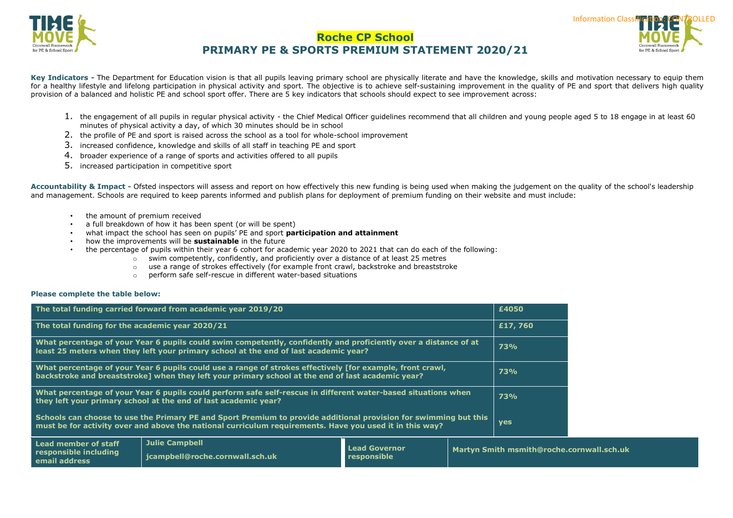



Key Indicators - The Department for Education vision is that all pupils leaving primary school are physically literate and have the knowledge, skills and motivation necessary to equip them for a healthy lifestyle and lifelong participation in physical activity and sport. The objective is to achieve self-sustaining improvement in the quality of PE and sport that delivers high quality provision of a balanced and holistic PE and school sport offer. There are 5 key indicators that schools should expect to see improvement across:

- 1. the engagement of all pupils in regular physical activity the Chief Medical Officer guidelines recommend that all children and young people aged 5 to 18 engage in at least 60 minutes of physical activity a day, of which 30 minutes should be in school
- 2. the profile of PE and sport is raised across the school as a tool for whole-school improvement
- 3. increased confidence, knowledge and skills of all staff in teaching PE and sport

**jcampbell@roche.cornwall.sch.uk**

- 4. broader experience of a range of sports and activities offered to all pupils
- 5. increased participation in competitive sport

**Accountability & Impact -** [Ofsted](http://www.ofsted.gov.uk/inspection-reports/our-expert-knowledge/physical-education) inspectors will assess and report on how effectively this new funding is being used when making the judgement on the quality of the school's leadership and management. Schools are required to keep parents informed and publish plans for deployment of premium funding on their website and must include:

> **Lead Governor responsible**

**Martyn Smith msmith@roche.cornwall.sch.uk**

- the amount of premium received
- a full breakdown of how it has been spent (or will be spent)
- what impact the school has seen on pupils' PE and sport **participation and attainment**
- how the improvements will be **sustainable** in the future
- the percentage of pupils within their year 6 cohort for academic year 2020 to 2021 that can do each of the following:
	- $\circ$  swim competently, confidently, and proficiently over a distance of at least 25 metres
	- o use a range of strokes effectively (for example front crawl, backstroke and breaststroke
	- o perform safe self-rescue in different water-based situations

#### **Please complete the table below:**

**responsible including email address**

|                                                 | The total funding carried forward from academic year 2019/20                                                                                                                                                                |  | £4050      |
|-------------------------------------------------|-----------------------------------------------------------------------------------------------------------------------------------------------------------------------------------------------------------------------------|--|------------|
| The total funding for the academic year 2020/21 |                                                                                                                                                                                                                             |  | £17,760    |
|                                                 | What percentage of your Year 6 pupils could swim competently, confidently and proficiently over a distance of at<br>least 25 meters when they left your primary school at the end of last academic year?                    |  | 73%        |
|                                                 | What percentage of your Year 6 pupils could use a range of strokes effectively [for example, front crawl,<br>backstroke and breaststroke] when they left your primary school at the end of last academic year?              |  | 73%        |
|                                                 | What percentage of your Year 6 pupils could perform safe self-rescue in different water-based situations when<br>they left your primary school at the end of last academic year?                                            |  | 73%        |
|                                                 | Schools can choose to use the Primary PE and Sport Premium to provide additional provision for swimming but this<br>must be for activity over and above the national curriculum requirements. Have you used it in this way? |  | <b>yes</b> |
| Lead member of staff                            | <b>Julie Campbell</b>                                                                                                                                                                                                       |  |            |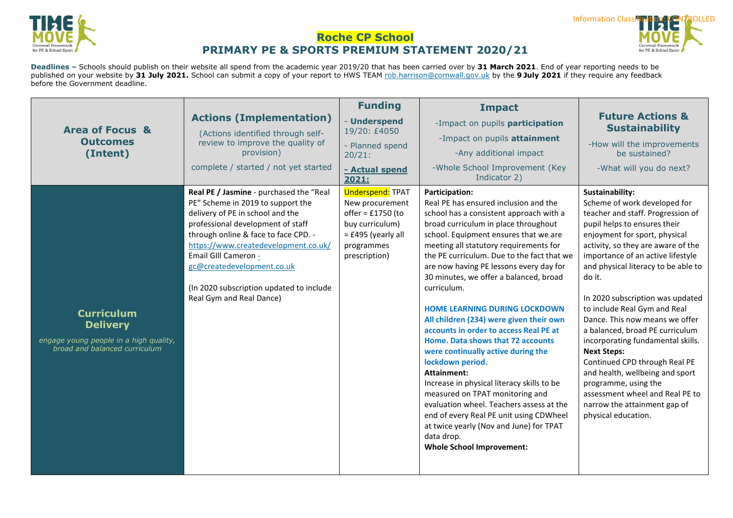



**Deadlines –** Schools should publish on their website all spend from the academic year 2019/20 that has been carried over by **31 March 2021**. End of year reporting needs to be published on your website by **31 July 2021.** School can submit a copy of your report to HWS TEAM [rob.harrison@cornwall.gov.uk](mailto:rob.harrison@cornwall.gov.uk) by the **9 July 2021** if they require any feedback before the Government deadline.

|                                                                                                                 |                                                                                                                                                                                                                                                                                                                                                                     | <b>Funding</b>                                                                                                                              | <b>Impact</b>                                                                                                                                                                                                                                                                                                                                                                                                                                                                                                                                                                                                                                                                                                                                                                                                                                                                                   |                                                                                                                                                                                                                                                                                                                                                                                                                                                                                                                                                                                                                                                                             |
|-----------------------------------------------------------------------------------------------------------------|---------------------------------------------------------------------------------------------------------------------------------------------------------------------------------------------------------------------------------------------------------------------------------------------------------------------------------------------------------------------|---------------------------------------------------------------------------------------------------------------------------------------------|-------------------------------------------------------------------------------------------------------------------------------------------------------------------------------------------------------------------------------------------------------------------------------------------------------------------------------------------------------------------------------------------------------------------------------------------------------------------------------------------------------------------------------------------------------------------------------------------------------------------------------------------------------------------------------------------------------------------------------------------------------------------------------------------------------------------------------------------------------------------------------------------------|-----------------------------------------------------------------------------------------------------------------------------------------------------------------------------------------------------------------------------------------------------------------------------------------------------------------------------------------------------------------------------------------------------------------------------------------------------------------------------------------------------------------------------------------------------------------------------------------------------------------------------------------------------------------------------|
| <b>Area of Focus &amp;</b>                                                                                      | <b>Actions (Implementation)</b>                                                                                                                                                                                                                                                                                                                                     | - Underspend<br>19/20: £4050                                                                                                                | -Impact on pupils participation                                                                                                                                                                                                                                                                                                                                                                                                                                                                                                                                                                                                                                                                                                                                                                                                                                                                 | <b>Future Actions &amp;</b><br><b>Sustainability</b>                                                                                                                                                                                                                                                                                                                                                                                                                                                                                                                                                                                                                        |
| <b>Outcomes</b>                                                                                                 | (Actions identified through self-<br>review to improve the quality of                                                                                                                                                                                                                                                                                               | - Planned spend                                                                                                                             | -Impact on pupils attainment                                                                                                                                                                                                                                                                                                                                                                                                                                                                                                                                                                                                                                                                                                                                                                                                                                                                    | -How will the improvements                                                                                                                                                                                                                                                                                                                                                                                                                                                                                                                                                                                                                                                  |
| (Intent)                                                                                                        | provision)                                                                                                                                                                                                                                                                                                                                                          | 20/21:                                                                                                                                      | -Any additional impact                                                                                                                                                                                                                                                                                                                                                                                                                                                                                                                                                                                                                                                                                                                                                                                                                                                                          | be sustained?                                                                                                                                                                                                                                                                                                                                                                                                                                                                                                                                                                                                                                                               |
|                                                                                                                 | complete / started / not yet started                                                                                                                                                                                                                                                                                                                                | - Actual spend<br>2021:                                                                                                                     | -Whole School Improvement (Key<br>Indicator 2)                                                                                                                                                                                                                                                                                                                                                                                                                                                                                                                                                                                                                                                                                                                                                                                                                                                  | -What will you do next?                                                                                                                                                                                                                                                                                                                                                                                                                                                                                                                                                                                                                                                     |
| <b>Curriculum</b><br><b>Delivery</b><br>engage young people in a high quality,<br>broad and balanced curriculum | Real PE / Jasmine - purchased the "Real<br>PE" Scheme in 2019 to support the<br>delivery of PE in school and the<br>professional development of staff<br>through online & face to face CPD. -<br>https://www.createdevelopment.co.uk/<br>Email GIII Cameron -<br>gc@createdevelopment.co.uk<br>(In 2020 subscription updated to include<br>Real Gym and Real Dance) | <b>Underspend: TPAT</b><br>New procurement<br>offer = $£1750$ (to<br>buy curriculum)<br>$=$ £495 (yearly all<br>programmes<br>prescription) | Participation:<br>Real PE has ensured inclusion and the<br>school has a consistent approach with a<br>broad curriculum in place throughout<br>school. Equipment ensures that we are<br>meeting all statutory requirements for<br>the PE curriculum. Due to the fact that we<br>are now having PE lessons every day for<br>30 minutes, we offer a balanced, broad<br>curriculum.<br><b>HOME LEARNING DURING LOCKDOWN</b><br>All children (234) were given their own<br>accounts in order to access Real PE at<br>Home. Data shows that 72 accounts<br>were continually active during the<br>lockdown period.<br>Attainment:<br>Increase in physical literacy skills to be<br>measured on TPAT monitoring and<br>evaluation wheel. Teachers assess at the<br>end of every Real PE unit using CDWheel<br>at twice yearly (Nov and June) for TPAT<br>data drop.<br><b>Whole School Improvement:</b> | Sustainability:<br>Scheme of work developed for<br>teacher and staff. Progression of<br>pupil helps to ensures their<br>enjoyment for sport, physical<br>activity, so they are aware of the<br>importance of an active lifestyle<br>and physical literacy to be able to<br>do it.<br>In 2020 subscription was updated<br>to include Real Gym and Real<br>Dance. This now means we offer<br>a balanced, broad PE curriculum<br>incorporating fundamental skills.<br><b>Next Steps:</b><br>Continued CPD through Real PE<br>and health, wellbeing and sport<br>programme, using the<br>assessment wheel and Real PE to<br>narrow the attainment gap of<br>physical education. |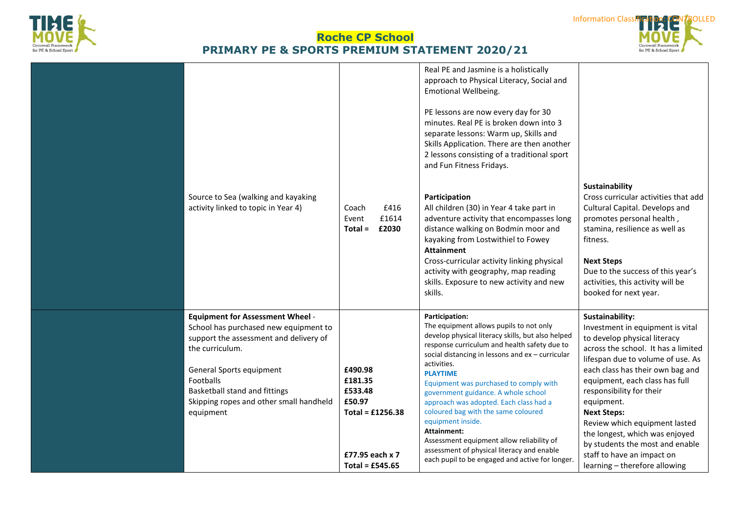





| Source to Sea (walking and kayaking<br>activity linked to topic in Year 4)                                                                                                                                                                                                      | £416<br>Coach<br>£1614<br>Event<br>$Total =$<br>£2030                                                 | Real PE and Jasmine is a holistically<br>approach to Physical Literacy, Social and<br><b>Emotional Wellbeing.</b><br>PE lessons are now every day for 30<br>minutes. Real PE is broken down into 3<br>separate lessons: Warm up, Skills and<br>Skills Application. There are then another<br>2 lessons consisting of a traditional sport<br>and Fun Fitness Fridays.<br>Participation<br>All children (30) in Year 4 take part in<br>adventure activity that encompasses long<br>distance walking on Bodmin moor and<br>kayaking from Lostwithiel to Fowey<br><b>Attainment</b><br>Cross-curricular activity linking physical<br>activity with geography, map reading<br>skills. Exposure to new activity and new<br>skills. | Sustainability<br>Cross curricular activities that add<br>Cultural Capital. Develops and<br>promotes personal health,<br>stamina, resilience as well as<br>fitness.<br><b>Next Steps</b><br>Due to the success of this year's<br>activities, this activity will be<br>booked for next year.                                                                                                                                                                                |
|---------------------------------------------------------------------------------------------------------------------------------------------------------------------------------------------------------------------------------------------------------------------------------|-------------------------------------------------------------------------------------------------------|------------------------------------------------------------------------------------------------------------------------------------------------------------------------------------------------------------------------------------------------------------------------------------------------------------------------------------------------------------------------------------------------------------------------------------------------------------------------------------------------------------------------------------------------------------------------------------------------------------------------------------------------------------------------------------------------------------------------------|----------------------------------------------------------------------------------------------------------------------------------------------------------------------------------------------------------------------------------------------------------------------------------------------------------------------------------------------------------------------------------------------------------------------------------------------------------------------------|
| <b>Equipment for Assessment Wheel -</b><br>School has purchased new equipment to<br>support the assessment and delivery of<br>the curriculum.<br>General Sports equipment<br>Footballs<br>Basketball stand and fittings<br>Skipping ropes and other small handheld<br>equipment | £490.98<br>£181.35<br>£533.48<br>£50.97<br>Total = $£1256.38$<br>£77.95 each x 7<br>Total = $£545.65$ | Participation:<br>The equipment allows pupils to not only<br>develop physical literacy skills, but also helped<br>response curriculum and health safety due to<br>social distancing in lessons and ex - curricular<br>activities.<br><b>PLAYTIME</b><br>Equipment was purchased to comply with<br>government guidance. A whole school<br>approach was adopted. Each class had a<br>coloured bag with the same coloured<br>equipment inside.<br>Attainment:<br>Assessment equipment allow reliability of<br>assessment of physical literacy and enable<br>each pupil to be engaged and active for longer.                                                                                                                     | Sustainability:<br>Investment in equipment is vital<br>to develop physical literacy<br>across the school. It has a limited<br>lifespan due to volume of use. As<br>each class has their own bag and<br>equipment, each class has full<br>responsibility for their<br>equipment.<br><b>Next Steps:</b><br>Review which equipment lasted<br>the longest, which was enjoyed<br>by students the most and enable<br>staff to have an impact on<br>learning - therefore allowing |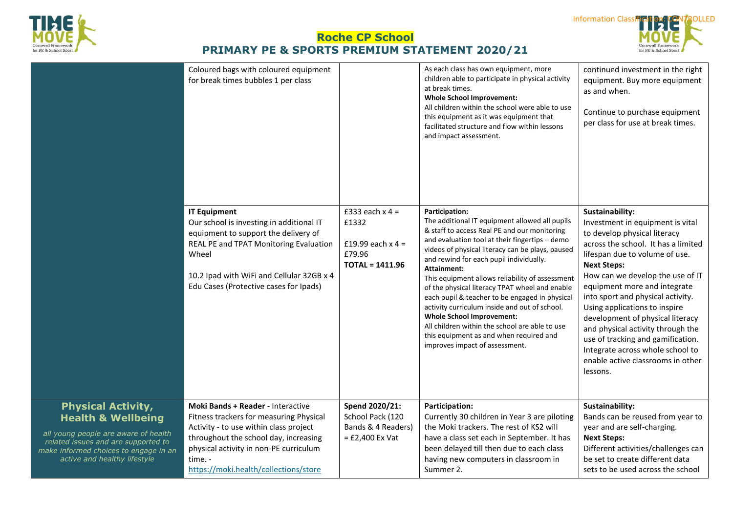



Cornwall Framework<br>for PE & School Sport

|                                                                                                                                                                                                                    | Coloured bags with coloured equipment<br>for break times bubbles 1 per class                                                                                                                                                                                         |                                                                                  | As each class has own equipment, more<br>children able to participate in physical activity<br>at break times.<br><b>Whole School Improvement:</b><br>All children within the school were able to use<br>this equipment as it was equipment that<br>facilitated structure and flow within lessons<br>and impact assessment.                                                                                                                                                                                                                                                                                                                                                | continued investment in the right<br>equipment. Buy more equipment<br>as and when.<br>Continue to purchase equipment<br>per class for use at break times.                                                                                                                                                                                                                                                                                                                                                                       |
|--------------------------------------------------------------------------------------------------------------------------------------------------------------------------------------------------------------------|----------------------------------------------------------------------------------------------------------------------------------------------------------------------------------------------------------------------------------------------------------------------|----------------------------------------------------------------------------------|---------------------------------------------------------------------------------------------------------------------------------------------------------------------------------------------------------------------------------------------------------------------------------------------------------------------------------------------------------------------------------------------------------------------------------------------------------------------------------------------------------------------------------------------------------------------------------------------------------------------------------------------------------------------------|---------------------------------------------------------------------------------------------------------------------------------------------------------------------------------------------------------------------------------------------------------------------------------------------------------------------------------------------------------------------------------------------------------------------------------------------------------------------------------------------------------------------------------|
|                                                                                                                                                                                                                    | <b>IT Equipment</b><br>Our school is investing in additional IT<br>equipment to support the delivery of<br>REAL PE and TPAT Monitoring Evaluation<br>Wheel<br>10.2 Ipad with WiFi and Cellular 32GB x 4<br>Edu Cases (Protective cases for Ipads)                    | £333 each $x$ 4 =<br>£1332<br>£19.99 each $x$ 4 =<br>£79.96<br>$TOTAL = 1411.96$ | <b>Participation:</b><br>The additional IT equipment allowed all pupils<br>& staff to access Real PE and our monitoring<br>and evaluation tool at their fingertips - demo<br>videos of physical literacy can be plays, paused<br>and rewind for each pupil individually.<br><b>Attainment:</b><br>This equipment allows reliability of assessment<br>of the physical literacy TPAT wheel and enable<br>each pupil & teacher to be engaged in physical<br>activity curriculum inside and out of school.<br><b>Whole School Improvement:</b><br>All children within the school are able to use<br>this equipment as and when required and<br>improves impact of assessment. | Sustainability:<br>Investment in equipment is vital<br>to develop physical literacy<br>across the school. It has a limited<br>lifespan due to volume of use.<br><b>Next Steps:</b><br>How can we develop the use of IT<br>equipment more and integrate<br>into sport and physical activity.<br>Using applications to inspire<br>development of physical literacy<br>and physical activity through the<br>use of tracking and gamification.<br>Integrate across whole school to<br>enable active classrooms in other<br>lessons. |
| <b>Physical Activity,</b><br><b>Health &amp; Wellbeing</b><br>all young people are aware of health<br>related issues and are supported to<br>make informed choices to engage in an<br>active and healthy lifestyle | <b>Moki Bands + Reader - Interactive</b><br>Fitness trackers for measuring Physical<br>Activity - to use within class project<br>throughout the school day, increasing<br>physical activity in non-PE curriculum<br>time. -<br>https://moki.health/collections/store | Spend 2020/21:<br>School Pack (120<br>Bands & 4 Readers)<br>$=$ £2,400 Ex Vat    | Participation:<br>Currently 30 children in Year 3 are piloting<br>the Moki trackers. The rest of KS2 will<br>have a class set each in September. It has<br>been delayed till then due to each class<br>having new computers in classroom in<br>Summer 2.                                                                                                                                                                                                                                                                                                                                                                                                                  | Sustainability:<br>Bands can be reused from year to<br>year and are self-charging.<br><b>Next Steps:</b><br>Different activities/challenges can<br>be set to create different data<br>sets to be used across the school                                                                                                                                                                                                                                                                                                         |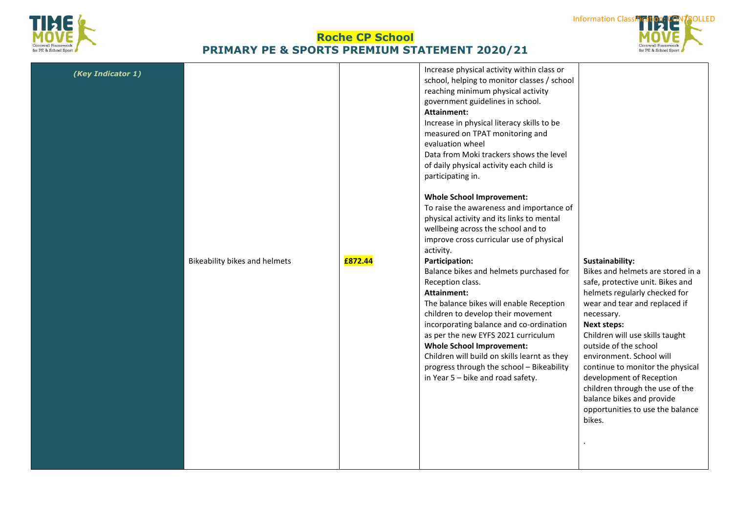



| (Key Indicator 1) | Bikeability bikes and helmets | £872.44 | Increase physical activity within class or<br>school, helping to monitor classes / school<br>reaching minimum physical activity<br>government guidelines in school.<br>Attainment:<br>Increase in physical literacy skills to be<br>measured on TPAT monitoring and<br>evaluation wheel<br>Data from Moki trackers shows the level<br>of daily physical activity each child is<br>participating in.<br><b>Whole School Improvement:</b><br>To raise the awareness and importance of<br>physical activity and its links to mental<br>wellbeing across the school and to<br>improve cross curricular use of physical<br>activity.<br><b>Participation:</b><br>Balance bikes and helmets purchased for<br>Reception class.<br><b>Attainment:</b><br>The balance bikes will enable Reception<br>children to develop their movement<br>incorporating balance and co-ordination<br>as per the new EYFS 2021 curriculum<br><b>Whole School Improvement:</b><br>Children will build on skills learnt as they<br>progress through the school - Bikeability<br>in Year 5 - bike and road safety. | Sustainability:<br>Bikes and helmets are stored in a<br>safe, protective unit. Bikes and<br>helmets regularly checked for<br>wear and tear and replaced if<br>necessary.<br><b>Next steps:</b><br>Children will use skills taught<br>outside of the school<br>environment. School will<br>continue to monitor the physical<br>development of Reception<br>children through the use of the<br>balance bikes and provide<br>opportunities to use the balance<br>bikes. |
|-------------------|-------------------------------|---------|----------------------------------------------------------------------------------------------------------------------------------------------------------------------------------------------------------------------------------------------------------------------------------------------------------------------------------------------------------------------------------------------------------------------------------------------------------------------------------------------------------------------------------------------------------------------------------------------------------------------------------------------------------------------------------------------------------------------------------------------------------------------------------------------------------------------------------------------------------------------------------------------------------------------------------------------------------------------------------------------------------------------------------------------------------------------------------------|----------------------------------------------------------------------------------------------------------------------------------------------------------------------------------------------------------------------------------------------------------------------------------------------------------------------------------------------------------------------------------------------------------------------------------------------------------------------|
|-------------------|-------------------------------|---------|----------------------------------------------------------------------------------------------------------------------------------------------------------------------------------------------------------------------------------------------------------------------------------------------------------------------------------------------------------------------------------------------------------------------------------------------------------------------------------------------------------------------------------------------------------------------------------------------------------------------------------------------------------------------------------------------------------------------------------------------------------------------------------------------------------------------------------------------------------------------------------------------------------------------------------------------------------------------------------------------------------------------------------------------------------------------------------------|----------------------------------------------------------------------------------------------------------------------------------------------------------------------------------------------------------------------------------------------------------------------------------------------------------------------------------------------------------------------------------------------------------------------------------------------------------------------|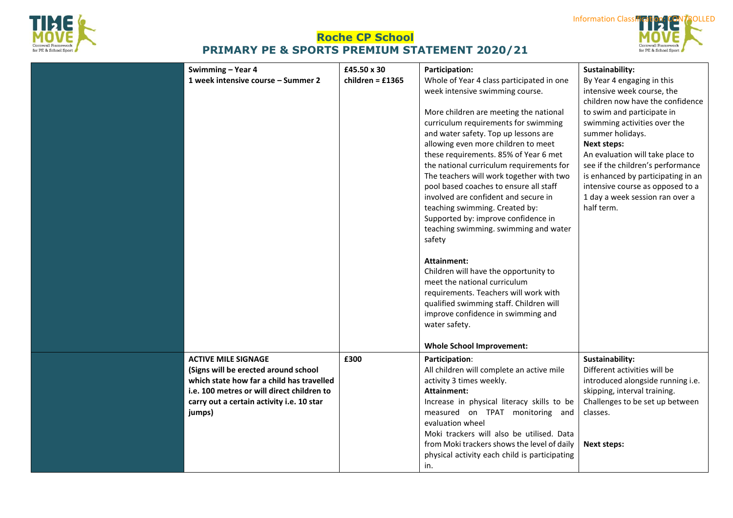





**Information Class**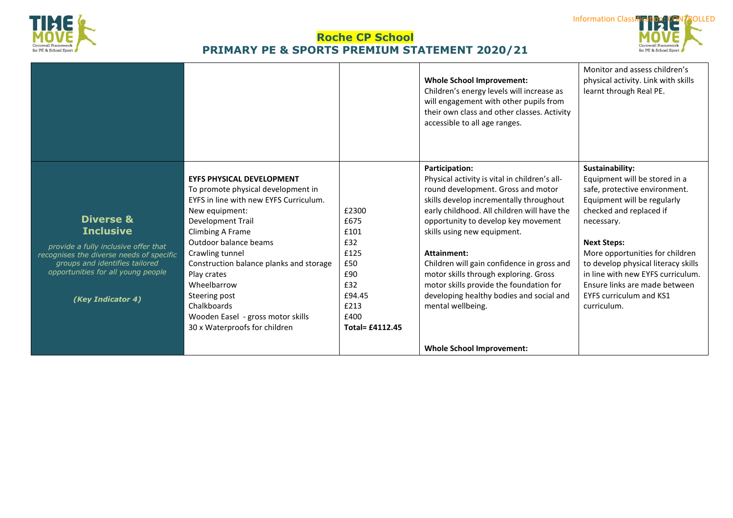



|                                                                      |                                                                              |                        | <b>Whole School Improvement:</b><br>Children's energy levels will increase as<br>will engagement with other pupils from<br>their own class and other classes. Activity<br>accessible to all age ranges. | Monitor and assess children's<br>physical activity. Link with skills<br>learnt through Real PE. |
|----------------------------------------------------------------------|------------------------------------------------------------------------------|------------------------|---------------------------------------------------------------------------------------------------------------------------------------------------------------------------------------------------------|-------------------------------------------------------------------------------------------------|
|                                                                      |                                                                              |                        | Participation:                                                                                                                                                                                          | Sustainability:                                                                                 |
|                                                                      | <b>EYFS PHYSICAL DEVELOPMENT</b>                                             |                        | Physical activity is vital in children's all-                                                                                                                                                           | Equipment will be stored in a                                                                   |
|                                                                      | To promote physical development in<br>EYFS in line with new EYFS Curriculum. |                        | round development. Gross and motor<br>skills develop incrementally throughout                                                                                                                           | safe, protective environment.<br>Equipment will be regularly                                    |
|                                                                      | New equipment:                                                               | £2300                  | early childhood. All children will have the                                                                                                                                                             | checked and replaced if                                                                         |
| <b>Diverse &amp;</b>                                                 | <b>Development Trail</b>                                                     | £675                   | opportunity to develop key movement                                                                                                                                                                     | necessary.                                                                                      |
| <b>Inclusive</b>                                                     | Climbing A Frame                                                             | £101                   | skills using new equipment.                                                                                                                                                                             |                                                                                                 |
| provide a fully inclusive offer that                                 | Outdoor balance beams                                                        | £32                    |                                                                                                                                                                                                         | <b>Next Steps:</b>                                                                              |
| recognises the diverse needs of specific                             | Crawling tunnel                                                              | £125                   | Attainment:                                                                                                                                                                                             | More opportunities for children                                                                 |
| groups and identifies tailored<br>opportunities for all young people | Construction balance planks and storage                                      | £50                    | Children will gain confidence in gross and                                                                                                                                                              | to develop physical literacy skills                                                             |
|                                                                      | Play crates                                                                  | £90                    | motor skills through exploring. Gross                                                                                                                                                                   | in line with new EYFS curriculum.                                                               |
|                                                                      | Wheelbarrow                                                                  | £32<br>£94.45          | motor skills provide the foundation for<br>developing healthy bodies and social and                                                                                                                     | Ensure links are made between<br>EYFS curriculum and KS1                                        |
| (Key Indicator 4)                                                    | Steering post<br>Chalkboards                                                 | £213                   | mental wellbeing.                                                                                                                                                                                       | curriculum.                                                                                     |
|                                                                      | Wooden Easel - gross motor skills                                            | £400                   |                                                                                                                                                                                                         |                                                                                                 |
|                                                                      | 30 x Waterproofs for children                                                | <b>Total= £4112.45</b> |                                                                                                                                                                                                         |                                                                                                 |
|                                                                      |                                                                              |                        |                                                                                                                                                                                                         |                                                                                                 |
|                                                                      |                                                                              |                        | <b>Whole School Improvement:</b>                                                                                                                                                                        |                                                                                                 |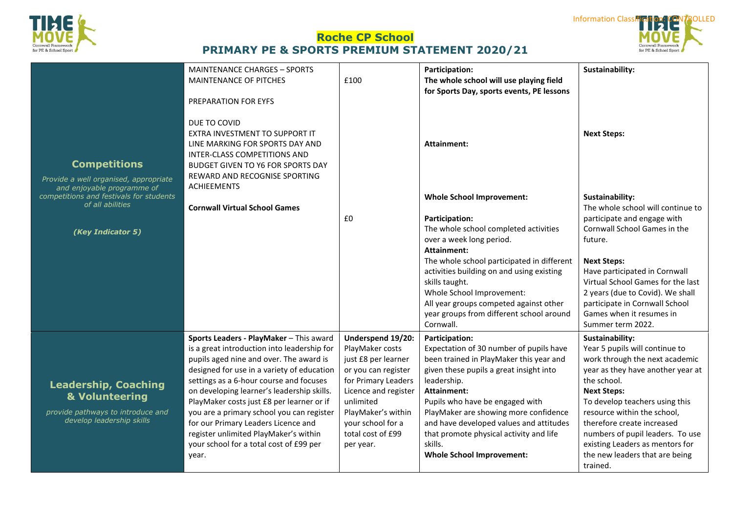



|                                                                                            | <b>MAINTENANCE CHARGES - SPORTS</b><br>MAINTENANCE OF PITCHES<br>PREPARATION FOR EYFS                                                                                                                                | £100                            | <b>Participation:</b><br>The whole school will use playing field<br>for Sports Day, sports events, PE lessons | Sustainability:                                               |
|--------------------------------------------------------------------------------------------|----------------------------------------------------------------------------------------------------------------------------------------------------------------------------------------------------------------------|---------------------------------|---------------------------------------------------------------------------------------------------------------|---------------------------------------------------------------|
| <b>Competitions</b><br>Provide a well organised, appropriate<br>and enjoyable programme of | DUE TO COVID<br>EXTRA INVESTMENT TO SUPPORT IT<br>LINE MARKING FOR SPORTS DAY AND<br><b>INTER-CLASS COMPETITIONS AND</b><br>BUDGET GIVEN TO Y6 FOR SPORTS DAY<br>REWARD AND RECOGNISE SPORTING<br><b>ACHIEEMENTS</b> |                                 | Attainment:                                                                                                   | <b>Next Steps:</b>                                            |
| competitions and festivals for students                                                    |                                                                                                                                                                                                                      |                                 | <b>Whole School Improvement:</b>                                                                              | Sustainability:                                               |
| of all abilities                                                                           | <b>Cornwall Virtual School Games</b>                                                                                                                                                                                 |                                 |                                                                                                               | The whole school will continue to                             |
|                                                                                            |                                                                                                                                                                                                                      | £0                              | <b>Participation:</b>                                                                                         | participate and engage with                                   |
| (Key Indicator 5)                                                                          |                                                                                                                                                                                                                      |                                 | The whole school completed activities                                                                         | Cornwall School Games in the                                  |
|                                                                                            |                                                                                                                                                                                                                      |                                 | over a week long period.<br><b>Attainment:</b>                                                                | future.                                                       |
|                                                                                            |                                                                                                                                                                                                                      |                                 | The whole school participated in different                                                                    | <b>Next Steps:</b>                                            |
|                                                                                            |                                                                                                                                                                                                                      |                                 | activities building on and using existing                                                                     | Have participated in Cornwall                                 |
|                                                                                            |                                                                                                                                                                                                                      |                                 | skills taught.                                                                                                | Virtual School Games for the last                             |
|                                                                                            |                                                                                                                                                                                                                      |                                 | Whole School Improvement:                                                                                     | 2 years (due to Covid). We shall                              |
|                                                                                            |                                                                                                                                                                                                                      |                                 | All year groups competed against other                                                                        | participate in Cornwall School                                |
|                                                                                            |                                                                                                                                                                                                                      |                                 | year groups from different school around<br>Cornwall.                                                         | Games when it resumes in<br>Summer term 2022.                 |
|                                                                                            | Sports Leaders - PlayMaker - This award                                                                                                                                                                              | Underspend 19/20:               | <b>Participation:</b>                                                                                         | Sustainability:                                               |
|                                                                                            | is a great introduction into leadership for                                                                                                                                                                          | PlayMaker costs                 | Expectation of 30 number of pupils have                                                                       | Year 5 pupils will continue to                                |
|                                                                                            | pupils aged nine and over. The award is                                                                                                                                                                              | just £8 per learner             | been trained in PlayMaker this year and                                                                       | work through the next academic                                |
|                                                                                            | designed for use in a variety of education                                                                                                                                                                           | or you can register             | given these pupils a great insight into                                                                       | year as they have another year at                             |
| <b>Leadership, Coaching</b>                                                                | settings as a 6-hour course and focuses                                                                                                                                                                              | for Primary Leaders             | leadership.                                                                                                   | the school.                                                   |
| & Volunteering                                                                             | on developing learner's leadership skills.                                                                                                                                                                           | Licence and register            | Attainment:                                                                                                   | <b>Next Steps:</b>                                            |
| provide pathways to introduce and                                                          | PlayMaker costs just £8 per learner or if<br>you are a primary school you can register                                                                                                                               | unlimited<br>PlayMaker's within | Pupils who have be engaged with<br>PlayMaker are showing more confidence                                      | To develop teachers using this<br>resource within the school, |
| develop leadership skills                                                                  | for our Primary Leaders Licence and                                                                                                                                                                                  | your school for a               | and have developed values and attitudes                                                                       | therefore create increased                                    |
|                                                                                            | register unlimited PlayMaker's within                                                                                                                                                                                | total cost of £99               | that promote physical activity and life                                                                       | numbers of pupil leaders. To use                              |
|                                                                                            | your school for a total cost of £99 per                                                                                                                                                                              | per year.                       | skills.                                                                                                       | existing Leaders as mentors for                               |
|                                                                                            | year.                                                                                                                                                                                                                |                                 | <b>Whole School Improvement:</b>                                                                              | the new leaders that are being                                |
|                                                                                            |                                                                                                                                                                                                                      |                                 |                                                                                                               | trained.                                                      |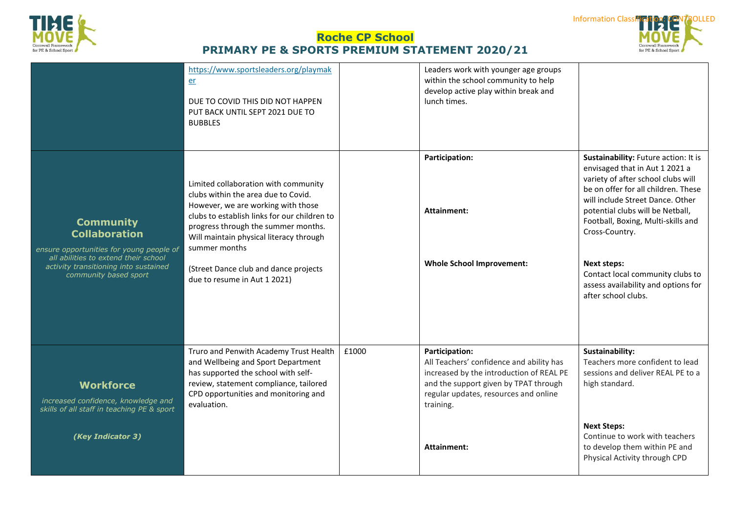



|                                                                                                                                                                                                | https://www.sportsleaders.org/playmak<br>er<br>DUE TO COVID THIS DID NOT HAPPEN<br>PUT BACK UNTIL SEPT 2021 DUE TO<br><b>BUBBLES</b>                                                                                                                                                                                                          |       | Leaders work with younger age groups<br>within the school community to help<br>develop active play within break and<br>lunch times.                                                                   |                                                                                                                                                                                                                                                                                                                                                                                                             |
|------------------------------------------------------------------------------------------------------------------------------------------------------------------------------------------------|-----------------------------------------------------------------------------------------------------------------------------------------------------------------------------------------------------------------------------------------------------------------------------------------------------------------------------------------------|-------|-------------------------------------------------------------------------------------------------------------------------------------------------------------------------------------------------------|-------------------------------------------------------------------------------------------------------------------------------------------------------------------------------------------------------------------------------------------------------------------------------------------------------------------------------------------------------------------------------------------------------------|
| <b>Community</b><br><b>Collaboration</b><br>ensure opportunities for young people of<br>all abilities to extend their school<br>activity transitioning into sustained<br>community based sport | Limited collaboration with community<br>clubs within the area due to Covid.<br>However, we are working with those<br>clubs to establish links for our children to<br>progress through the summer months.<br>Will maintain physical literacy through<br>summer months<br>(Street Dance club and dance projects<br>due to resume in Aut 1 2021) |       | Participation:<br><b>Attainment:</b><br><b>Whole School Improvement:</b>                                                                                                                              | Sustainability: Future action: It is<br>envisaged that in Aut 1 2021 a<br>variety of after school clubs will<br>be on offer for all children. These<br>will include Street Dance. Other<br>potential clubs will be Netball,<br>Football, Boxing, Multi-skills and<br>Cross-Country.<br><b>Next steps:</b><br>Contact local community clubs to<br>assess availability and options for<br>after school clubs. |
| <b>Workforce</b><br>increased confidence, knowledge and<br>skills of all staff in teaching PE & sport                                                                                          | Truro and Penwith Academy Trust Health<br>and Wellbeing and Sport Department<br>has supported the school with self-<br>review, statement compliance, tailored<br>CPD opportunities and monitoring and<br>evaluation.                                                                                                                          | £1000 | Participation:<br>All Teachers' confidence and ability has<br>increased by the introduction of REAL PE<br>and the support given by TPAT through<br>regular updates, resources and online<br>training. | Sustainability:<br>Teachers more confident to lead<br>sessions and deliver REAL PE to a<br>high standard.                                                                                                                                                                                                                                                                                                   |
| (Key Indicator 3)                                                                                                                                                                              |                                                                                                                                                                                                                                                                                                                                               |       | <b>Attainment:</b>                                                                                                                                                                                    | <b>Next Steps:</b><br>Continue to work with teachers<br>to develop them within PE and<br>Physical Activity through CPD                                                                                                                                                                                                                                                                                      |